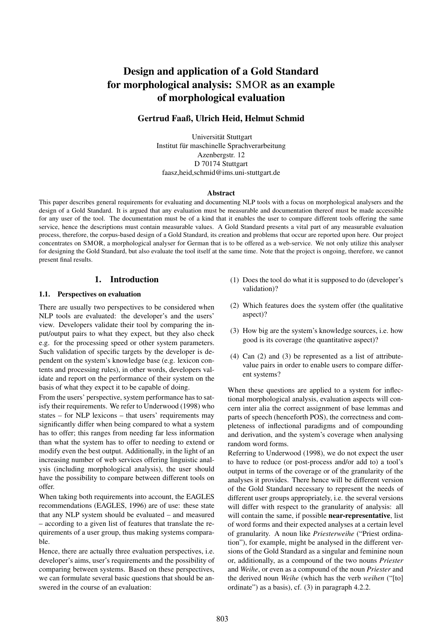# Design and application of a Gold Standard for morphological analysis: SMOR as an example of morphological evaluation

# Gertrud Faaß, Ulrich Heid, Helmut Schmid

Universität Stuttgart Institut für maschinelle Sprachverarbeitung Azenbergstr. 12 D 70174 Stuttgart faasz,heid,schmid@ims.uni-stuttgart.de

#### Abstract

This paper describes general requirements for evaluating and documenting NLP tools with a focus on morphological analysers and the design of a Gold Standard. It is argued that any evaluation must be measurable and documentation thereof must be made accessible for any user of the tool. The documentation must be of a kind that it enables the user to compare different tools offering the same service, hence the descriptions must contain measurable values. A Gold Standard presents a vital part of any measurable evaluation process, therefore, the corpus-based design of a Gold Standard, its creation and problems that occur are reported upon here. Our project concentrates on SMOR, a morphological analyser for German that is to be offered as a web-service. We not only utilize this analyser for designing the Gold Standard, but also evaluate the tool itself at the same time. Note that the project is ongoing, therefore, we cannot present final results.

## 1. Introduction

### 1.1. Perspectives on evaluation

There are usually two perspectives to be considered when NLP tools are evaluated: the developer's and the users' view. Developers validate their tool by comparing the input/output pairs to what they expect, but they also check e.g. for the processing speed or other system parameters. Such validation of specific targets by the developer is dependent on the system's knowledge base (e.g. lexicon contents and processing rules), in other words, developers validate and report on the performance of their system on the basis of what they expect it to be capable of doing.

From the users' perspective, system performance has to satisfy their requirements. We refer to Underwood (1998) who states – for NLP lexicons – that users' requirements may significantly differ when being compared to what a system has to offer; this ranges from needing far less information than what the system has to offer to needing to extend or modify even the best output. Additionally, in the light of an increasing number of web services offering linguistic analysis (including morphological analysis), the user should have the possibility to compare between different tools on offer.

When taking both requirements into account, the EAGLES recommendations (EAGLES, 1996) are of use: these state that any NLP system should be evaluated – and measured – according to a given list of features that translate the requirements of a user group, thus making systems comparable.

Hence, there are actually three evaluation perspectives, i.e. developer's aims, user's requirements and the possibility of comparing between systems. Based on these perspectives, we can formulate several basic questions that should be answered in the course of an evaluation:

- (1) Does the tool do what it is supposed to do (developer's validation)?
- (2) Which features does the system offer (the qualitative aspect)?
- (3) How big are the system's knowledge sources, i.e. how good is its coverage (the quantitative aspect)?
- (4) Can (2) and (3) be represented as a list of attributevalue pairs in order to enable users to compare different systems?

When these questions are applied to a system for inflectional morphological analysis, evaluation aspects will concern inter alia the correct assignment of base lemmas and parts of speech (henceforth POS), the correctness and completeness of inflectional paradigms and of compounding and derivation, and the system's coverage when analysing random word forms.

Referring to Underwood (1998), we do not expect the user to have to reduce (or post-process and/or add to) a tool's output in terms of the coverage or of the granularity of the analyses it provides. There hence will be different version of the Gold Standard necessary to represent the needs of different user groups appropriately, i.e. the several versions will differ with respect to the granularity of analysis: all will contain the same, if possible near-representative, list of word forms and their expected analyses at a certain level of granularity. A noun like *Priesterweihe* ("Priest ordination"), for example, might be analysed in the different versions of the Gold Standard as a singular and feminine noun or, additionally, as a compound of the two nouns *Priester* and *Weihe*, or even as a compound of the noun *Priester* and the derived noun *Weihe* (which has the verb *weihen* ("[to] ordinate") as a basis), cf. (3) in paragraph 4.2.2.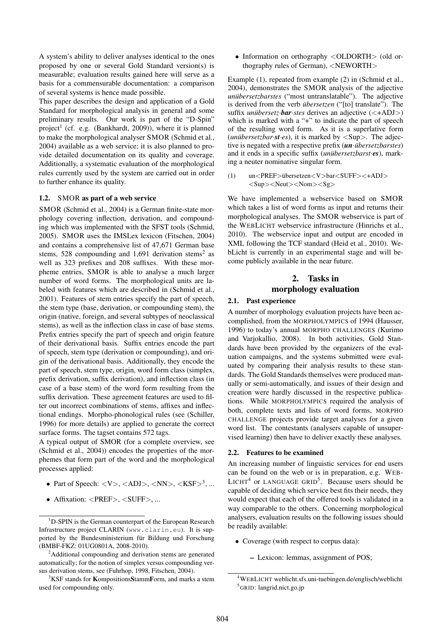A system's ability to deliver analyses identical to the ones proposed by one or several Gold Standard version(s) is measurable; evaluation results gained here will serve as a basis for a commensurable documentation: a comparison of several systems is hence made possible.

This paper describes the design and application of a Gold Standard for morphological analysis in general and some preliminary results. Our work is part of the "D-Spin" project<sup>1</sup> (cf. e.g. (Bankhardt, 2009)), where it is planned to make the morphological analyser SMOR (Schmid et al., 2004) available as a web service; it is also planned to provide detailed documentation on its quality and coverage. Additionally, a systematic evaluation of the morphological rules currently used by the system are carried out in order to further enhance its quality.

#### 1.2. SMOR as part of a web service

SMOR (Schmid et al., 2004) is a German finite-state morphology covering inflection, derivation, and compounding which was implemented with the SFST tools (Schmid, 2005). SMOR uses the IMSLex lexicon (Fitschen, 2004) and contains a comprehensive list of 47,671 German base stems, 528 compounding and 1,691 derivation stems<sup>2</sup> as well as 323 prefixes and 208 suffixes. With these morpheme entries, SMOR is able to analyse a much larger number of word forms. The morphological units are labeled with features which are described in (Schmid et al., 2001). Features of stem entries specify the part of speech, the stem type (base, derivation, or compounding stem), the origin (native, foreign, and several subtypes of neoclassical stems), as well as the inflection class in case of base stems. Prefix entries specify the part of speech and origin feature of their derivational basis. Suffix entries encode the part of speech, stem type (derivation or compounding), and origin of the derivational basis. Additionally, they encode the part of speech, stem type, origin, word form class (simplex, prefix derivation, suffix derivation), and inflection class (in case of a base stem) of the word form resulting from the suffix derivation. These agreement features are used to filter out incorrect combinations of stems, affixes and inflectional endings. Morpho-phonological rules (see (Schiller, 1996) for more details) are applied to generate the correct surface forms. The tagset contains 572 tags.

A typical output of SMOR (for a complete overview, see (Schmid et al., 2004)) encodes the properties of the morphemes that form part of the word and the morphological processes applied:

- Part of Speech:  $\langle V \rangle$ ,  $\langle ADJ \rangle$ ,  $\langle NN \rangle$ ,  $\langle KSF \rangle^3$ , ...
- Affixation: <PREF>, <SUFF>, ...

<sup>3</sup>KSF stands for **KompositionsStammForm**, and marks a stem used for compounding only.

• Information on orthography  $\langle$  OLDORTH $>$  (old orthography rules of German), <NEWORTH>

Example (1), repeated from example (2) in (Schmid et al., 2004), demonstrates the SMOR analysis of the adjective *unübersetzbarstes* ("most untranslatable"). The adjective is derived from the verb *übersetzen* ("[to] translate"). The suffix *unibersetz bar*·*stes* derives an adjective (<+ADJ>) which is marked with a "+" to indicate the part of speech of the resulting word form. As it is a superlative form (*unubersetzbar*  $\cdot$ *st* $\cdot$ *es*), it is marked by  $\langle \text{Supp} \rangle$ . The adjective is negated with a respective prefix (*un*·*übersetzbarstes*) and it ends in a specific suffix (*unübersetzbarst •es*), marking a neuter nominative singular form.

(1)  $\text{un}<\text{PREF}>$  übersetzen $\lt V$  > bar $\lt$ SUFF >  $\lt$  +ADJ >  $<$ Sup> $<$ Neut> $<$ Nom> $<$ Sg>

We have implemented a webservice based on SMOR which takes a list of word forms as input and returns their morphological analyses. The SMOR webservice is part of the WEBLICHT webservice infrastructure (Hinrichs et al., 2010). The webservice input and output are encoded in XML following the TCF standard (Heid et al., 2010). WebLicht is currently in an experimental stage and will become publicly available in the near future.

# 2. Tasks in morphology evaluation

## 2.1. Past experience

A number of morphology evaluation projects have been accomplished, from the MORPHOLYMPICS of 1994 (Hausser, 1996) to today's annual MORPHO CHALLENGES (Kurimo and Varjokallio, 2008). In both activities, Gold Standards have been provided by the organizers of the evaluation campaigns, and the systems submitted were evaluated by comparing their analysis results to these standards. The Gold Standards themselves were produced manually or semi-automatically, and issues of their design and creation were hardly discussed in the respective publications. While MORPHOLYMPICS required the analysis of both, complete texts and lists of word forms, MORPHO CHALLENGE projects provide target analyses for a given word list. The contestants (analysers capable of unsupervised learning) then have to deliver exactly these analyses.

#### 2.2. Features to be examined

An increasing number of linguistic services for end users can be found on the web or is in preparation, e.g. WEB-LICHT<sup>4</sup> or LANGUAGE GRID<sup>5</sup>. Because users should be capable of deciding which service best fits their needs, they would expect that each of the offered tools is validated in a way comparable to the others. Concerning morphological analysers, evaluation results on the following issues should be readily available:

- Coverage (with respect to corpus data):
	- Lexicon: lemmas, assignment of POS;

<sup>&</sup>lt;sup>1</sup>D-SPIN is the German counterpart of the European Research Infrastructure project CLARIN (www.clarin.eu). It is supported by the Bundesministerium für Bildung und Forschung (BMBF-FKZ: 01UG0801A, 2008-2010).

 $2$ Additional compounding and derivation stems are generated automatically; for the notion of simplex versus compounding versus derivation stems, see (Fuhrhop, 1998, Fitschen, 2004).

<sup>4</sup>WEBLICHT weblicht.sfs.uni-tuebingen.de/englisch/weblicht <sup>5</sup>GRID: langrid.nict.go.jp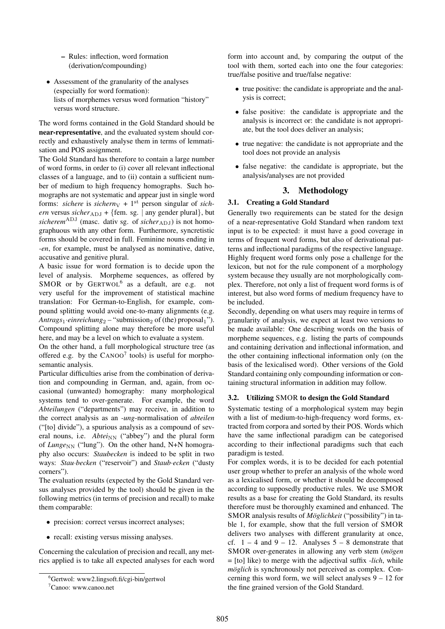- Rules: inflection, word formation (derivation/compounding)
- Assessment of the granularity of the analyses (especially for word formation): lists of morphemes versus word formation "history" versus word structure.

The word forms contained in the Gold Standard should be near-representative, and the evaluated system should correctly and exhaustively analyse them in terms of lemmatisation and POS assignment.

The Gold Standard has therefore to contain a large number of word forms, in order to (i) cover all relevant inflectional classes of a language, and to (ii) contain a sufficient number of medium to high frequency homographs. Such homographs are not systematic and appear just in single word forms: *sichere* is *sichern* $V + 1$ <sup>st</sup> person singular of *sichern* versus *sicher*<sub>ADJ</sub> + {fem. sg. | any gender plural}, but  $sicherem<sup>ADJ</sup>$  (masc. dativ sg. of *sicher*<sub>ADJ</sub>) is not homographuous with any other form. Furthermore, syncretistic forms should be covered in full. Feminine nouns ending in *-en*, for example, must be analysed as nominative, dative, accusative and genitive plural.

A basic issue for word formation is to decide upon the level of analysis. Morpheme sequences, as offered by SMOR or by GERTWOL<sup>6</sup> as a default, are e.g. not very useful for the improvement of statistical machine translation: For German-to-English, for example, compound splitting would avoid one-to-many alignments (e.g. *Antrags*<sup>1</sup>·*einreichung*<sup>2</sup> – "submission<sub>2</sub> of (the) proposal<sup>1</sup>"). Compound splitting alone may therefore be more useful here, and may be a level on which to evaluate a system.

On the other hand, a full morphological structure tree (as offered e.g. by the  $CANOO<sup>7</sup>$  tools) is useful for morphosemantic analysis.

Particular difficulties arise from the combination of derivation and compounding in German, and, again, from occasional (unwanted) homography: many morphological systems tend to over-generate. For example, the word *Abteilungen* ("departments") may receive, in addition to the correct analysis as an *-ung*-normalisation of *abteilen* ("[to] divide"), a spurious analysis as a compound of several nouns, i.e. *Abtei*<sub>NN</sub> ("abbey") and the plural form of *Lunge*<sub>NN</sub> ("lung"). On the other hand, N+N homography also occurs: *Staubecken* is indeed to be split in two ways: *Stau*·*becken* ("reservoir") and *Staub*·*ecken* ("dusty corners").

The evaluation results (expected by the Gold Standard versus analyses provided by the tool) should be given in the following metrics (in terms of precision and recall) to make them comparable:

- precision: correct versus incorrect analyses;
- recall: existing versus missing analyses.

Concerning the calculation of precision and recall, any metrics applied is to take all expected analyses for each word form into account and, by comparing the output of the tool with them, sorted each into one the four categories: true/false positive and true/false negative:

- true positive: the candidate is appropriate and the analysis is correct;
- false positive: the candidate is appropriate and the analysis is incorrect or: the candidate is not appropriate, but the tool does deliver an analysis;
- true negative: the candidate is not appropriate and the tool does not provide an analysis
- false negative: the candidate is appropriate, but the analysis/analyses are not provided

## 3. Methodology

## 3.1. Creating a Gold Standard

Generally two requirements can be stated for the design of a near-representative Gold Standard when random text input is to be expected: it must have a good coverage in terms of frequent word forms, but also of derivational patterns and inflectional paradigms of the respective language. Highly frequent word forms only pose a challenge for the lexicon, but not for the rule component of a morphology system because they usually are not morphologically complex. Therefore, not only a list of frequent word forms is of interest, but also word forms of medium frequency have to be included.

Secondly, depending on what users may require in terms of granularity of analysis, we expect at least two versions to be made available: One describing words on the basis of morpheme sequences, e.g. listing the parts of compounds and containing derivation and inflectional information, and the other containing inflectional information only (on the basis of the lexicalised word). Other versions of the Gold Standard containing only compounding information or containing structural information in addition may follow.

#### 3.2. Utilizing SMOR to design the Gold Standard

Systematic testing of a morphological system may begin with a list of medium-to-high-frequency word forms, extracted from corpora and sorted by their POS. Words which have the same inflectional paradigm can be categorised according to their inflectional paradigms such that each paradigm is tested.

For complex words, it is to be decided for each potential user group whether to prefer an analysis of the whole word as a lexicalised form, or whether it should be decomposed according to supposedly productive rules. We use SMOR results as a base for creating the Gold Standard, its results therefore must be thoroughly examined and enhanced. The SMOR analysis results of *Möglichkeit* ("possibility") in table 1, for example, show that the full version of SMOR delivers two analyses with different granularity at once, cf.  $1 - 4$  and  $9 - 12$ . Analyses  $5 - 8$  demonstrate that SMOR over-generates in allowing any verb stem (*mögen*) = [to] like) to merge with the adjectival suffix *-lich*, while *möglich* is synchronously not perceived as complex. Concerning this word form, we will select analyses 9 – 12 for the fine grained version of the Gold Standard.

 $6$ Gertwol: www2.lingsoft.fi/cgi-bin/gertwol

<sup>7</sup>Canoo: www.canoo.net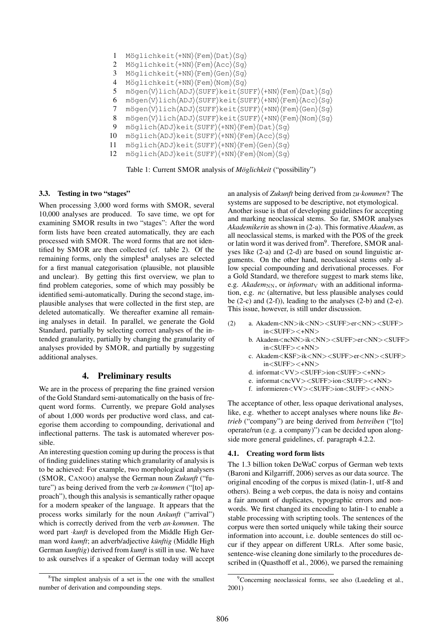1 Möglichkeit $\langle +NN \rangle$ (Fem) $\langle Dat \rangle$ (Sg) 2 Möglichkeit $\langle +NN \rangle$ /Fem $\rangle$ (Acc $\rangle$ (Sg) 3 Möglichkeit(+NN)(Fem)(Gen)(Sg) 4 Möglichkeit $\langle +NN \rangle$  (Fem)  $\langle Nom \rangle$  (Sg) 5 mögen $\overline{V}\$ lich $\overline{ADJ}\$ SUFF $\ket{keit(SUFF)\{+NN}\}$ Fem $\overline{Dat}\$ Sg $\rangle$ 6 mögen $\langle V \rangle$ lich $\langle ADJ \rangle$ (SUFF)keit $\langle SUFF \rangle$  (+NN) $\langle Fem \rangle$ (Acc) $\langle Sq \rangle$ 7 mögen $\overline{V}\$ lich $\overline{ADJ}\$ SUFF $\ket{keit\frac{SUFF}{+NN}\$ Fem $\overline{Sen}\$ 8 mögen $\langle V \rangle$ lich $\langle ADJ \rangle$ (SUFF)keit $\langle SUFF \rangle$ (+NN) $\langle Fem \rangle$ (Nom) $\langle Sg \rangle$  $9$  möglich $\langle ADJ\rangle$ keit $\langle SUFF\rangle\langle+NN\rangle\langle Fem\rangle\langle Dat\rangle\langle Sq\rangle$ 10 möglich(ADJ)keit(SUFF)(+NN)(Fem)(Acc)(Sg) 11 möglich(ADJ)keit(SUFF)(+NN)(Fem)(Gen)(Sg) 12 möglich(ADJ)keit(SUFF)(+NN)(Fem)(Nom)(Sq)

Table 1: Current SMOR analysis of *Möglichkeit* ("possibility")

### 3.3. Testing in two "stages"

When processing 3,000 word forms with SMOR, several 10,000 analyses are produced. To save time, we opt for examining SMOR results in two "stages": After the word form lists have been created automatically, they are each processed with SMOR. The word forms that are not identified by SMOR are then collected (cf. table 2). Of the remaining forms, only the simplest<sup>8</sup> analyses are selected for a first manual categorisation (plausible, not plausible and unclear). By getting this first overview, we plan to find problem categories, some of which may possibly be identified semi-automatically. During the second stage, implausible analyses that were collected in the first step, are deleted automatically. We thereafter examine all remaining analyses in detail. In parallel, we generate the Gold Standard, partially by selecting correct analyses of the intended granularity, partially by changing the granularity of analyses provided by SMOR, and partially by suggesting additional analyses.

## 4. Preliminary results

We are in the process of preparing the fine grained version of the Gold Standard semi-automatically on the basis of frequent word forms. Currently, we prepare Gold analyses of about 1,000 words per productive word class, and categorise them according to compounding, derivational and inflectional patterns. The task is automated wherever possible.

An interesting question coming up during the process is that of finding guidelines stating which granularity of analysis is to be achieved: For example, two morphological analysers (SMOR, CANOO) analyse the German noun *Zukunft* ("future") as being derived from the verb *zu*·*kommen* ("[to] approach"), though this analysis is semantically rather opaque for a modern speaker of the language. It appears that the process works similarly for the noun *Ankunft* ("arrival") which is correctly derived from the verb *an*·*kommen*. The word part ·*kunft* is developed from the Middle High German word *kumft*; an adverb/adjective *künftig* (Middle High German *kumftig*) derived from *kumft* is still in use. We have to ask ourselves if a speaker of German today will accept

an analysis of *Zukunft* being derived from *zu*·*kommen*? The systems are supposed to be descriptive, not etymological. Another issue is that of developing guidelines for accepting and marking neoclassical stems. So far, SMOR analyses *Akademikerin* as shown in (2-a). This formative *Akadem*, as all neoclassical stems, is marked with the POS of the greek or latin word it was derived from<sup>9</sup>. Therefore, SMOR analyses like (2-a) and (2-d) are based on sound linguistic arguments. On the other hand, neoclassical stems only allow special compounding and derivational processes. For a Gold Standard, we therefore suggest to mark stems like, e.g. *Akadem*<sub>NN</sub>, or *informat*<sub>V</sub> with an additional information, e.g. *nc* (alternative, but less plausible analyses could be  $(2-c)$  and  $(2-f)$ ), leading to the analyses  $(2-b)$  and  $(2-e)$ . This issue, however, is still under discussion.

- (2) a. Akadem<NN>ik<NN><SUFF>er<NN><SUFF> in<SUFF><+NN>
	- b. Akadem<ncNN>ik<NN><SUFF>er<NN><SUFF> in<SUFF><+NN>
	- c. Akadem<KSF>ik<NN><SUFF>er<NN><SUFF> in<SUFF><+NN>
	- d. informat<VV><SUFF>ion<SUFF><+NN>
	- e. informat<ncVV><SUFF>ion<SUFF><+NN>
	- f. informieren<VV><SUFF>ion<SUFF><+NN>

The acceptance of other, less opaque derivational analyses, like, e.g. whether to accept analyses where nouns like *Betrieb* ("company") are being derived from *betreiben* ("[to] operate/run (e.g. a company)") can be decided upon alongside more general guidelines, cf. paragraph 4.2.2.

#### 4.1. Creating word form lists

The 1.3 billion token DeWaC corpus of German web texts (Baroni and Kilgarriff, 2006) serves as our data source. The original encoding of the corpus is mixed (latin-1, utf-8 and others). Being a web corpus, the data is noisy and contains a fair amount of duplicates, typographic errors and nonwords. We first changed its encoding to latin-1 to enable a stable processing with scripting tools. The sentences of the corpus were then sorted uniquely while taking their source information into account, i.e. double sentences do still occur if they appear on different URLs. After some basic, sentence-wise cleaning done similarly to the procedures described in (Quasthoff et al., 2006), we parsed the remaining

 ${}^{8}$ The simplest analysis of a set is the one with the smallest number of derivation and compounding steps.

<sup>9</sup>Concerning neoclassical forms, see also (Luedeling et al., 2001)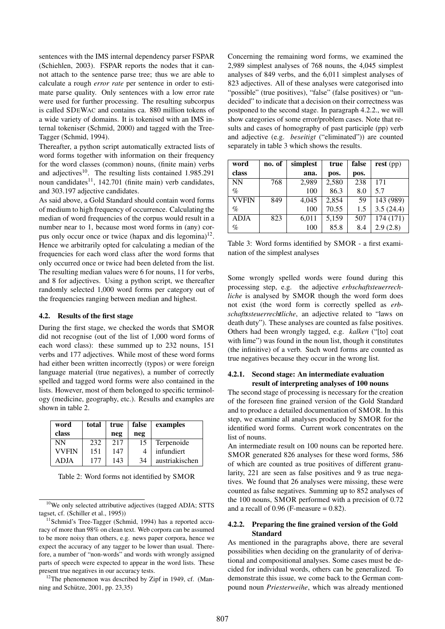sentences with the IMS internal dependency parser FSPAR (Schiehlen, 2003). FSPAR reports the nodes that it cannot attach to the sentence parse tree; thus we are able to calculate a rough *error rate* per sentence in order to estimate parse quality. Only sentences with a low error rate were used for further processing. The resulting subcorpus is called SDEWAC and contains ca. 880 million tokens of a wide variety of domains. It is tokenised with an IMS internal tokeniser (Schmid, 2000) and tagged with the Tree-Tagger (Schmid, 1994).

Thereafter, a python script automatically extracted lists of word forms together with information on their frequency for the word classes (common) nouns, (finite main) verbs and adjectives $10$ . The resulting lists contained 1.985.291 noun candidates<sup>11</sup>, 142.701 (finite main) verb candidates, and 303.197 adjective candidates.

As said above, a Gold Standard should contain word forms of medium to high frequency of occurrence. Calculating the median of word frequencies of the corpus would result in a number near to 1, because most word forms in (any) corpus only occur once or twice (hapax and dis legomina)<sup>12</sup>. Hence we arbitrarily opted for calculating a median of the frequencies for each word class after the word forms that only occurred once or twice had been deleted from the list. The resulting median values were 6 for nouns, 11 for verbs, and 8 for adjectives. Using a python script, we thereafter randomly selected 1,000 word forms per category out of the frequencies ranging between median and highest.

#### 4.2. Results of the first stage

During the first stage, we checked the words that SMOR did not recognise (out of the list of 1,000 word forms of each word class): these summed up to 232 nouns, 151 verbs and 177 adjectives. While most of these word forms had either been written incorrectly (typos) or were foreign language material (true negatives), a number of correctly spelled and tagged word forms were also contained in the lists. However, most of them belonged to specific terminology (medicine, geography, etc.). Results and examples are shown in table 2.

| word         | total | true | false | examples       |  |
|--------------|-------|------|-------|----------------|--|
| class        |       | neg  | neg   |                |  |
| <b>NN</b>    | 232   | 217  | 15    | Terpenoide     |  |
| <b>VVFIN</b> | 151   | 147  |       | infundiert     |  |
| ADJA         | 177   | 143  | 34    | austriakischen |  |

Table 2: Word forms not identified by SMOR

 $12$ The phenomenon was described by Zipf in 1949, cf. (Manning and Schütze,  $2001$ , pp.  $23,35$ )

Concerning the remaining word forms, we examined the 2,989 simplest analyses of 768 nouns, the 4,045 simplest analyses of 849 verbs, and the 6,011 simplest analyses of 823 adjectives. All of these analyses were categorised into "possible" (true positives), "false" (false positives) or "undecided" to indicate that a decision on their correctness was postponed to the second stage. In paragraph 4.2.2., we will show categories of some error/problem cases. Note that results and cases of homography of past participle (pp) verb and adjective (e.g. *beseitigt* ("eliminated")) are counted separately in table 3 which shows the results.

| word         | no. of | simplest | true  | false | $rest$ (pp) |
|--------------|--------|----------|-------|-------|-------------|
| class        |        | ana.     | pos.  | pos.  |             |
| <b>NN</b>    | 768    | 2,989    | 2,580 | 238   | 171         |
| $\%$         |        | 100      | 86.3  | 8.0   | 5.7         |
| <b>VVFIN</b> | 849    | 4,045    | 2,854 | 59    | 143 (989)   |
| $\%$         |        | 100      | 70.55 | 1.5   | 3.5(24.4)   |
| <b>ADJA</b>  | 823    | 6,011    | 5,159 | 507   | 174 (171)   |
| $\%$         |        | 100      | 85.8  | 8.4   | 2.9(2.8)    |

Table 3: Word forms identified by SMOR - a first examination of the simplest analyses

Some wrongly spelled words were found during this processing step, e.g. the adjective *erbschaftsteuerrechliche* is analysed by SMOR though the word form does not exist (the word form is correctly spelled as *erbschaftssteuerrechtliche*, an adjective related to "laws on death duty"). These analyses are counted as false positives. Others had been wrongly tagged, e.g. *kalken* ("[to] coat with lime") was found in the noun list, though it constitutes (the infinitive) of a verb. Such word forms are counted as true negatives because they occur in the wrong list.

### 4.2.1. Second stage: An intermediate evaluation result of interpreting analyses of 100 nouns

The second stage of processing is necessary for the creation of the foreseen fine grained version of the Gold Standard and to produce a detailed documentation of SMOR. In this step, we examine all analyses produced by SMOR for the identified word forms. Current work concentrates on the list of nouns.

An intermediate result on 100 nouns can be reported here. SMOR generated 826 analyses for these word forms, 586 of which are counted as true positives of different granularity, 221 are seen as false positives and 9 as true negatives. We found that 26 analyses were missing, these were counted as false negatives. Summing up to 852 analyses of the 100 nouns, SMOR performed with a precision of 0.72 and a recall of  $0.96$  (F-measure =  $0.82$ ).

### 4.2.2. Preparing the fine grained version of the Gold Standard

As mentioned in the paragraphs above, there are several possibilities when deciding on the granularity of of derivational and compositional analyses. Some cases must be decided for individual words, others can be generalized. To demonstrate this issue, we come back to the German compound noun *Priesterweihe*, which was already mentioned

<sup>10</sup>We only selected attributive adjectives (tagged ADJA; STTS tagset, cf. (Schiller et al., 1995))

 $11$ Schmid's Tree-Tagger (Schmid, 1994) has a reported accuracy of more than 98% on clean text. Web corpora can be assumed to be more noisy than others, e.g. news paper corpora, hence we expect the accuracy of any tagger to be lower than usual. Therefore, a number of "non-words" and words with wrongly assigned parts of speech were expected to appear in the word lists. These present true negatives in our accuracy tests.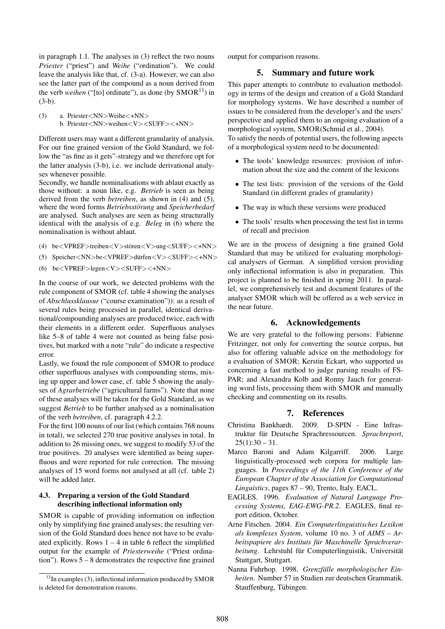in paragraph 1.1. The analyses in (3) reflect the two nouns *Priester* ("priest") and *Weihe* ("ordination"). We could leave the analysis like that, cf. (3-a). However, we can also see the latter part of the compound as a noun derived from the verb *weihen* ("[to] ordinate"), as done (by  $SMOR<sup>13</sup>$ ) in (3-b).

(3) a. Priester<NN>Weihe<+NN> b. Priester<NN>weihen<V><SUFF><+NN>

Different users may want a different granularity of analysis. For our fine grained version of the Gold Standard, we follow the "as fine as it gets"-strategy and we therefore opt for the latter analysis (3-b), i.e. we include derivational analyses whenever possible.

Secondly, we handle nominalisations with ablaut exactly as those without: a noun like, e.g. *Betrieb* is seen as being derived from the verb *betreiben*, as shown in (4) and (5), where the word forms *Betriebsstörung* and *Speicherbedarf* are analysed. Such analyses are seen as being structurally identical with the analysis of e.g. *Beleg* in (6) where the nominalisation is without ablaut.

- (4) be<VPREF>treiben<V>stören<V>ung<SUFF><+NN>
- (5) Speicher<NN>be<VPREF>dürfen<V><SUFF><+NN>
- (6) be<VPREF>legen<V><SUFF><+NN>

In the course of our work, we detected problems with the rule component of SMOR (cf. table 4 showing the analyses of *Abschlussklausur* ("course examination")): as a result of several rules being processed in parallel, identical derivational/compounding analyses are produced twice, each with their elements in a different order. Superfluous analyses like 5–8 of table 4 were not counted as being false positives, but marked with a note "rule" do indicate a respective error.

Lastly, we found the rule component of SMOR to produce other superfluous analyses with compounding stems, mixing up upper and lower case, cf. table 5 showing the analyses of *Agrarbetriebe* ("agricultural farms"). Note that none of these analyses will be taken for the Gold Standard, as we suggest *Betrieb* to be further analysed as a nominalisation of the verb *betreiben*, cf. paragraph 4.2.2.

For the first 100 nouns of our list (which contains 768 nouns in total), we selected 270 true positive analyses in total. In addition to 26 missing ones, we suggest to modify 53 of the true positives. 20 analyses were identified as being superfluous and were reported for rule correction. The missing analyses of 15 word forms not analysed at all (cf. table 2) will be added later.

## 4.3. Preparing a version of the Gold Standard describing inflectional information only

SMOR is capable of providing information on inflection only by simplifying fine grained analyses; the resulting version of the Gold Standard does hence not have to be evaluated explicitly. Rows  $1 - 4$  in table 6 reflect the simplified output for the example of *Priesterweihe* ("Priest ordination"). Rows 5 – 8 demonstrates the respective fine grained output for comparison reasons.

## 5. Summary and future work

This paper attempts to contribute to evaluation methodology in terms of the design and creation of a Gold Standard for morphology systems. We have described a number of issues to be considered from the developer's and the users' perspective and applied them to an ongoing evaluation of a morphological system, SMOR(Schmid et al., 2004). To satisfy the needs of potential users, the following aspects of a morphological system need to be documented:

- The tools' knowledge resources: provision of information about the size and the content of the lexicons
- The test lists: provision of the versions of the Gold Standard (in different grades of granularity)
- The way in which these versions were produced
- The tools' results when processing the test list in terms of recall and precision

We are in the process of designing a fine grained Gold Standard that may be utilized for evaluating morphological analysers of German. A simplified version providing only inflectional information is also in preparation. This project is planned to be finished in spring 2011. In parallel, we comprehensively test and document features of the analyser SMOR which will be offered as a web service in the near future.

## 6. Acknowledgements

We are very grateful to the following persons: Fabienne Fritzinger, not only for converting the source corpus, but also for offering valuable advice on the methodology for a evaluation of SMOR; Kerstin Eckart, who supported us concerning a fast method to judge parsing results of FS-PAR; and Alexandra Kolb and Ronny Jauch for generating word lists, processing them with SMOR and manually checking and commenting on its results.

## 7. References

- Christina Bankhardt. 2009. D-SPIN Eine Infrastruktur für Deutsche Sprachressourcen. Sprachreport,  $25(1):30 - 31.$
- Marco Baroni and Adam Kilgarriff. 2006. Large linguistically-processed web corpora for multiple languages. In *Proceedings of the 11th Conference of the European Chapter of the Association for Computational Linguistics*, pages 87 – 90, Trento, Italy. EACL.
- EAGLES. 1996. *Evaluation of Natural Language Processing Systems, EAG-EWG-PR.2*. EAGLES, final report edition, October.
- Arne Fitschen. 2004. *Ein Computerlinguistisches Lexikon als komplexes System*, volume 10 no. 3 of *AIMS – Arbeitspapiere des Instituts fur Maschinelle Sprachverar- ¨* beitung. Lehrstuhl für Computerlinguistik, Universität Stuttgart, Stuttgart.
- Nanna Fuhrhop. 1998. *Grenzfalle morphologischer Ein- ¨ heiten*. Number 57 in Studien zur deutschen Grammatik. Stauffenburg, Tübingen.

 $13$ In examples (3), inflectional information produced by SMOR is deleted for demonstration reasons.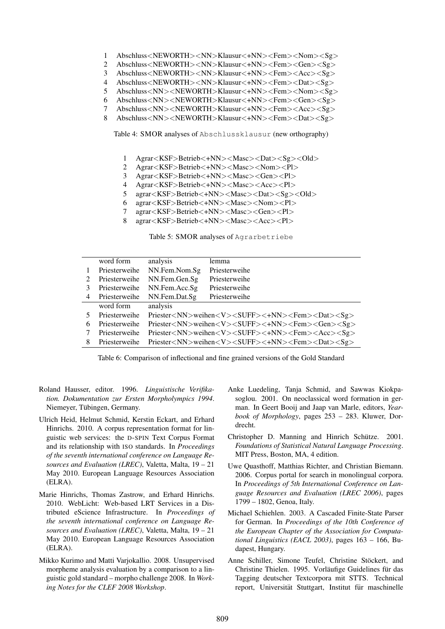- 1 Abschluss<NEWORTH><NN>Klausur<+NN><Fem><Nom><Sg>
- 2 Abschluss<NEWORTH><NN>Klausur<+NN><Fem><Gen><Sg>
- 3 Abschluss<NEWORTH><NN>Klausur<+NN><Fem><Acc><Sg>
- 4 Abschluss<NEWORTH><NN>Klausur<+NN><Fem><Dat><Sg>
- 5 Abschluss<NN><NEWORTH>Klausur<+NN><Fem><Nom><Sg>
- 6 Abschluss<NN><NEWORTH>Klausur<+NN><Fem><Gen><Sg>
- 7 Abschluss<NN><NEWORTH>Klausur<+NN><Fem><Acc><Sg>
- 8 Abschluss<NN><NEWORTH>Klausur<+NN><Fem><Dat><Sg>

Table 4: SMOR analyses of Abschlussklausur (new orthography)

- 1 Agrar<KSF>Betrieb<+NN><Masc><Dat><Sg><Old>
- 2 Agrar<KSF>Betrieb<+NN><Masc><Nom><Pl>
- 3 Agrar<KSF>Betrieb<+NN><Masc><Gen><Pl>
- 4 Agrar<KSF>Betrieb<+NN><Masc><Acc><Pl>
- 5 agrar<KSF>Betrieb<+NN><Masc><Dat><Sg><Old>
- 6 agrar<KSF>Betrieb<+NN><Masc><Nom><Pl>
- 7 agrar<KSF>Betrieb<+NN><Masc><Gen><Pl>
- 8 agrar<KSF>Betrieb<+NN><Masc><Acc><Pl>

Table 5: SMOR analyses of Agrarbetriebe

|                             | word form     | analysis                                                                               | lemma                                                                                  |  |
|-----------------------------|---------------|----------------------------------------------------------------------------------------|----------------------------------------------------------------------------------------|--|
|                             | Priesterweihe | NN.Fem.Nom.Sg                                                                          | Priesterweihe                                                                          |  |
| $\mathcal{D}_{\mathcal{L}}$ | Priesterweihe | NN.Fem.Gen.Sg                                                                          | Priesterweihe                                                                          |  |
|                             | Priesterweihe | NN.Fem.Acc.Sg                                                                          | Priesterweihe                                                                          |  |
| 4                           | Priesterweihe | NN.Fem.Dat.Sg                                                                          | Priesterweihe                                                                          |  |
|                             | word form     | analysis                                                                               |                                                                                        |  |
|                             | Priesterweihe | Priester <nn>weihen<v><suff>&lt;+NN&gt;<fem><dat><sg></sg></dat></fem></suff></v></nn> |                                                                                        |  |
| 6                           | Priesterweihe | Priester <nn>weihen<v><suff>&lt;+NN&gt;<fem><gen><sg></sg></gen></fem></suff></v></nn> |                                                                                        |  |
|                             |               | Priester <nn>weihen<v><suff>&lt;+NN&gt;<fem><acc><sg></sg></acc></fem></suff></v></nn> |                                                                                        |  |
|                             | Priesterweihe |                                                                                        |                                                                                        |  |
| 8                           | Priesterweihe |                                                                                        | Priester <nn>weihen<v><suff>&lt;+NN&gt;<fem><dat><sg></sg></dat></fem></suff></v></nn> |  |

Table 6: Comparison of inflectional and fine grained versions of the Gold Standard

- Roland Hausser, editor. 1996. *Linguistische Verifikation. Dokumentation zur Ersten Morpholympics 1994*. Niemeyer, Tübingen, Germany.
- Ulrich Heid, Helmut Schmid, Kerstin Eckart, and Erhard Hinrichs. 2010. A corpus representation format for linguistic web services: the D-SPIN Text Corpus Format and its relationship with ISO standards. In *Proceedings of the seventh international conference on Language Resources and Evaluation (LREC)*, Valetta, Malta, 19 – 21 May 2010. European Language Resources Association (ELRA).
- Marie Hinrichs, Thomas Zastrow, and Erhard Hinrichs. 2010. WebLicht: Web-based LRT Services in a Distributed eScience Infrastructure. In *Proceedings of the seventh international conference on Language Resources and Evaluation (LREC)*, Valetta, Malta, 19 – 21 May 2010. European Language Resources Association (ELRA).
- Mikko Kurimo and Matti Varjokallio. 2008. Unsupervised morpheme analysis evaluation by a comparison to a linguistic gold standard – morpho challenge 2008. In *Working Notes for the CLEF 2008 Workshop*.
- Anke Luedeling, Tanja Schmid, and Sawwas Kiokpasoglou. 2001. On neoclassical word formation in german. In Geert Booij and Jaap van Marle, editors, *Yearbook of Morphology*, pages 253 – 283. Kluwer, Dordrecht.
- Christopher D. Manning and Hinrich Schütze. 2001. *Foundations of Statistical Natural Language Processing*. MIT Press, Boston, MA, 4 edition.
- Uwe Quasthoff, Matthias Richter, and Christian Biemann. 2006. Corpus portal for search in monolingual corpora. In *Proceedings of 5th International Conference on Language Resources and Evaluation (LREC 2006)*, pages 1799 – 1802, Genoa, Italy.
- Michael Schiehlen. 2003. A Cascaded Finite-State Parser for German. In *Proceedings of the 10th Conference of the European Chapter of the Association for Computational Linguistics (EACL 2003)*, pages 163 – 166, Budapest, Hungary.
- Anne Schiller, Simone Teufel, Christine Stöckert, and Christine Thielen. 1995. Vorläufige Guidelines für das Tagging deutscher Textcorpora mit STTS. Technical report, Universität Stuttgart, Institut für maschinelle